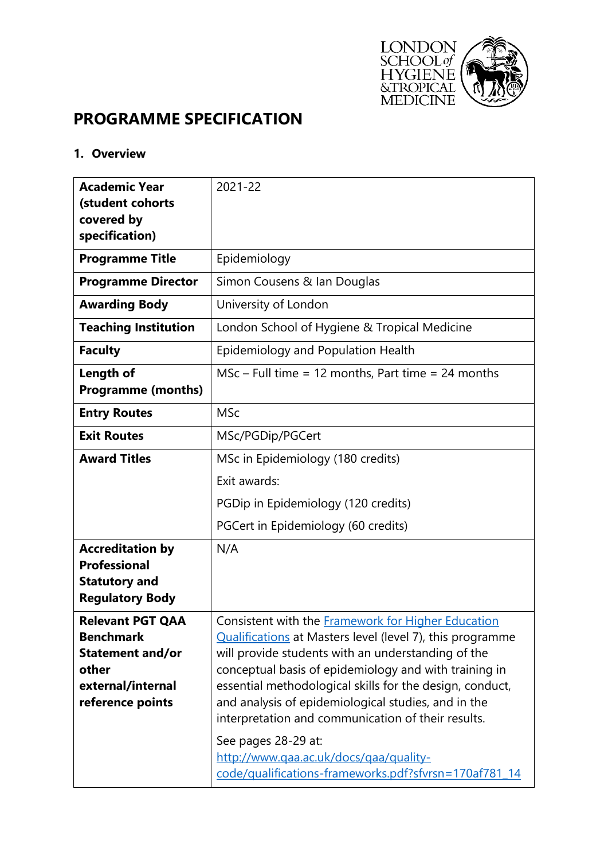

# **PROGRAMME SPECIFICATION**

## **1. Overview**

| <b>Academic Year</b><br>(student cohorts       | 2021-22                                                                                                           |
|------------------------------------------------|-------------------------------------------------------------------------------------------------------------------|
| covered by<br>specification)                   |                                                                                                                   |
| <b>Programme Title</b>                         | Epidemiology                                                                                                      |
| <b>Programme Director</b>                      | Simon Cousens & Ian Douglas                                                                                       |
| <b>Awarding Body</b>                           | University of London                                                                                              |
| <b>Teaching Institution</b>                    | London School of Hygiene & Tropical Medicine                                                                      |
| <b>Faculty</b>                                 | Epidemiology and Population Health                                                                                |
| Length of                                      | $MSc$ – Full time = 12 months, Part time = 24 months                                                              |
| <b>Programme (months)</b>                      |                                                                                                                   |
| <b>Entry Routes</b>                            | <b>MSc</b>                                                                                                        |
| <b>Exit Routes</b>                             | MSc/PGDip/PGCert                                                                                                  |
| <b>Award Titles</b>                            | MSc in Epidemiology (180 credits)                                                                                 |
|                                                | Exit awards:                                                                                                      |
|                                                | PGDip in Epidemiology (120 credits)                                                                               |
|                                                | PGCert in Epidemiology (60 credits)                                                                               |
| <b>Accreditation by</b>                        | N/A                                                                                                               |
| <b>Professional</b>                            |                                                                                                                   |
| <b>Statutory and</b><br><b>Regulatory Body</b> |                                                                                                                   |
| <b>Relevant PGT OAA</b>                        | Consistent with the <b>Framework for Higher Education</b>                                                         |
| <b>Benchmark</b>                               | Qualifications at Masters level (level 7), this programme                                                         |
| <b>Statement and/or</b>                        | will provide students with an understanding of the                                                                |
| other<br>external/internal                     | conceptual basis of epidemiology and with training in<br>essential methodological skills for the design, conduct, |
| reference points                               | and analysis of epidemiological studies, and in the                                                               |
|                                                | interpretation and communication of their results.                                                                |
|                                                | See pages 28-29 at:                                                                                               |
|                                                | http://www.qaa.ac.uk/docs/qaa/quality-                                                                            |
|                                                | code/qualifications-frameworks.pdf?sfvrsn=170af781_14                                                             |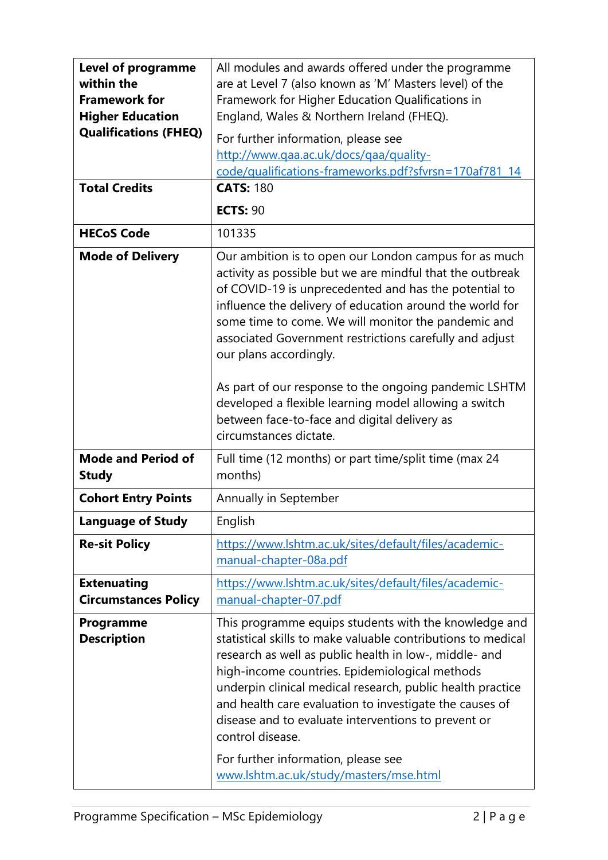| <b>Level of programme</b><br>within the<br><b>Framework for</b><br><b>Higher Education</b><br><b>Qualifications (FHEQ)</b><br><b>Total Credits</b> | All modules and awards offered under the programme<br>are at Level 7 (also known as 'M' Masters level) of the<br>Framework for Higher Education Qualifications in<br>England, Wales & Northern Ireland (FHEQ).<br>For further information, please see<br>http://www.qaa.ac.uk/docs/qaa/quality-<br>code/qualifications-frameworks.pdf?sfvrsn=170af781_14<br><b>CATS: 180</b><br><b>ECTS: 90</b>                                                                                                                                                                                 |  |  |  |
|----------------------------------------------------------------------------------------------------------------------------------------------------|---------------------------------------------------------------------------------------------------------------------------------------------------------------------------------------------------------------------------------------------------------------------------------------------------------------------------------------------------------------------------------------------------------------------------------------------------------------------------------------------------------------------------------------------------------------------------------|--|--|--|
| <b>HECoS Code</b>                                                                                                                                  | 101335                                                                                                                                                                                                                                                                                                                                                                                                                                                                                                                                                                          |  |  |  |
| <b>Mode of Delivery</b>                                                                                                                            | Our ambition is to open our London campus for as much<br>activity as possible but we are mindful that the outbreak<br>of COVID-19 is unprecedented and has the potential to<br>influence the delivery of education around the world for<br>some time to come. We will monitor the pandemic and<br>associated Government restrictions carefully and adjust<br>our plans accordingly.<br>As part of our response to the ongoing pandemic LSHTM<br>developed a flexible learning model allowing a switch<br>between face-to-face and digital delivery as<br>circumstances dictate. |  |  |  |
| <b>Mode and Period of</b><br><b>Study</b>                                                                                                          | Full time (12 months) or part time/split time (max 24<br>months)                                                                                                                                                                                                                                                                                                                                                                                                                                                                                                                |  |  |  |
| <b>Cohort Entry Points</b>                                                                                                                         | Annually in September                                                                                                                                                                                                                                                                                                                                                                                                                                                                                                                                                           |  |  |  |
| <b>Language of Study</b>                                                                                                                           | English                                                                                                                                                                                                                                                                                                                                                                                                                                                                                                                                                                         |  |  |  |
| <b>Re-sit Policy</b>                                                                                                                               | https://www.lshtm.ac.uk/sites/default/files/academic-<br>manual-chapter-08a.pdf                                                                                                                                                                                                                                                                                                                                                                                                                                                                                                 |  |  |  |
| <b>Extenuating</b><br><b>Circumstances Policy</b>                                                                                                  | https://www.lshtm.ac.uk/sites/default/files/academic-<br>manual-chapter-07.pdf                                                                                                                                                                                                                                                                                                                                                                                                                                                                                                  |  |  |  |
| Programme<br><b>Description</b>                                                                                                                    | This programme equips students with the knowledge and<br>statistical skills to make valuable contributions to medical<br>research as well as public health in low-, middle- and<br>high-income countries. Epidemiological methods<br>underpin clinical medical research, public health practice<br>and health care evaluation to investigate the causes of<br>disease and to evaluate interventions to prevent or<br>control disease.<br>For further information, please see<br>www.lshtm.ac.uk/study/masters/mse.html                                                          |  |  |  |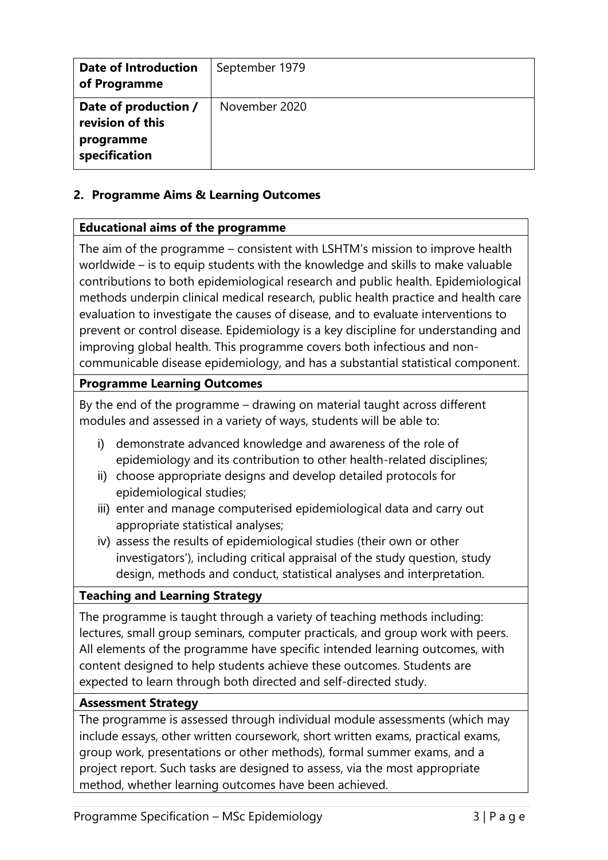| <b>Date of Introduction</b><br>of Programme                            | September 1979 |
|------------------------------------------------------------------------|----------------|
| Date of production /<br>revision of this<br>programme<br>specification | November 2020  |

# **2. Programme Aims & Learning Outcomes**

## **Educational aims of the programme**

The aim of the programme – consistent with LSHTM's mission to improve health worldwide – is to equip students with the knowledge and skills to make valuable contributions to both epidemiological research and public health. Epidemiological methods underpin clinical medical research, public health practice and health care evaluation to investigate the causes of disease, and to evaluate interventions to prevent or control disease. Epidemiology is a key discipline for understanding and improving global health. This programme covers both infectious and noncommunicable disease epidemiology, and has a substantial statistical component.

# **Programme Learning Outcomes**

By the end of the programme – drawing on material taught across different modules and assessed in a variety of ways, students will be able to:

- i) demonstrate advanced knowledge and awareness of the role of epidemiology and its contribution to other health-related disciplines;
- ii) choose appropriate designs and develop detailed protocols for epidemiological studies;
- iii) enter and manage computerised epidemiological data and carry out appropriate statistical analyses;
- iv) assess the results of epidemiological studies (their own or other investigators'), including critical appraisal of the study question, study design, methods and conduct, statistical analyses and interpretation.

## **Teaching and Learning Strategy**

The programme is taught through a variety of teaching methods including: lectures, small group seminars, computer practicals, and group work with peers. All elements of the programme have specific intended learning outcomes, with content designed to help students achieve these outcomes. Students are expected to learn through both directed and self-directed study.

## **Assessment Strategy**

The programme is assessed through individual module assessments (which may include essays, other written coursework, short written exams, practical exams, group work, presentations or other methods), formal summer exams, and a project report. Such tasks are designed to assess, via the most appropriate method, whether learning outcomes have been achieved.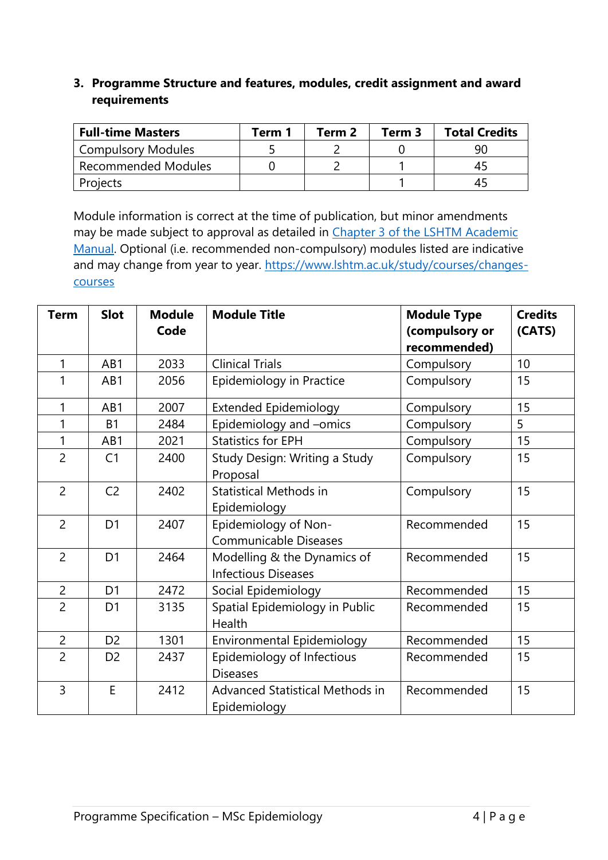# **3. Programme Structure and features, modules, credit assignment and award requirements**

| <b>Full-time Masters</b>   | Term 1 | Term 2 | Term 3 | <b>Total Credits</b> |
|----------------------------|--------|--------|--------|----------------------|
| <b>Compulsory Modules</b>  |        |        |        |                      |
| <b>Recommended Modules</b> |        |        |        |                      |
| Projects                   |        |        |        |                      |

Module information is correct at the time of publication, but minor amendments may be made subject to approval as detailed in Chapter 3 of the LSHTM Academic [Manual.](https://www.lshtm.ac.uk/sites/default/files/academic-manual-chapter-03.pdf) Optional (i.e. recommended non-compulsory) modules listed are indicative and may change from year to year. [https://www.lshtm.ac.uk/study/courses/changes](https://www.lshtm.ac.uk/study/courses/changes-courses)[courses](https://www.lshtm.ac.uk/study/courses/changes-courses)

| <b>Term</b>    | <b>Slot</b>    | <b>Module</b><br>Code | <b>Module Title</b>                                            | <b>Module Type</b><br>(compulsory or<br>recommended) | <b>Credits</b><br>(CATS) |
|----------------|----------------|-----------------------|----------------------------------------------------------------|------------------------------------------------------|--------------------------|
| 1              | AB1            | 2033                  | <b>Clinical Trials</b>                                         | Compulsory                                           | 10 <sup>°</sup>          |
| 1              | AB1            | 2056                  | Compulsory<br>Epidemiology in Practice                         |                                                      | 15                       |
| 1              | AB1            | 2007                  | <b>Extended Epidemiology</b><br>Compulsory                     |                                                      | 15                       |
| 1              | <b>B1</b>      | 2484                  | Epidemiology and -omics                                        | Compulsory                                           | 5                        |
| 1              | AB1            | 2021                  | <b>Statistics for EPH</b>                                      | Compulsory                                           | 15                       |
| $\overline{2}$ | C <sub>1</sub> | 2400                  | Study Design: Writing a Study<br>Proposal                      | Compulsory                                           | 15                       |
| $\overline{2}$ | C <sub>2</sub> | 2402                  | <b>Statistical Methods in</b><br>Epidemiology                  | Compulsory                                           | 15                       |
| $\overline{2}$ | D <sub>1</sub> | 2407                  | Epidemiology of Non-<br><b>Communicable Diseases</b>           | Recommended                                          | 15                       |
| $\overline{2}$ | D <sub>1</sub> | 2464                  | Modelling & the Dynamics of<br><b>Infectious Diseases</b>      | Recommended                                          | 15                       |
| $\overline{2}$ | D <sub>1</sub> | 2472                  | Social Epidemiology                                            | Recommended                                          | 15                       |
| $\overline{2}$ | D <sub>1</sub> | 3135                  | Spatial Epidemiology in Public<br>Health                       | Recommended                                          | 15                       |
| $\overline{2}$ | D <sub>2</sub> | 1301                  | Environmental Epidemiology<br>Recommended                      |                                                      | 15                       |
| $\overline{2}$ | D <sub>2</sub> | 2437                  | Epidemiology of Infectious<br>Recommended<br><b>Diseases</b>   |                                                      | 15                       |
| $\overline{3}$ | E              | 2412                  | Advanced Statistical Methods in<br>Recommended<br>Epidemiology |                                                      | 15                       |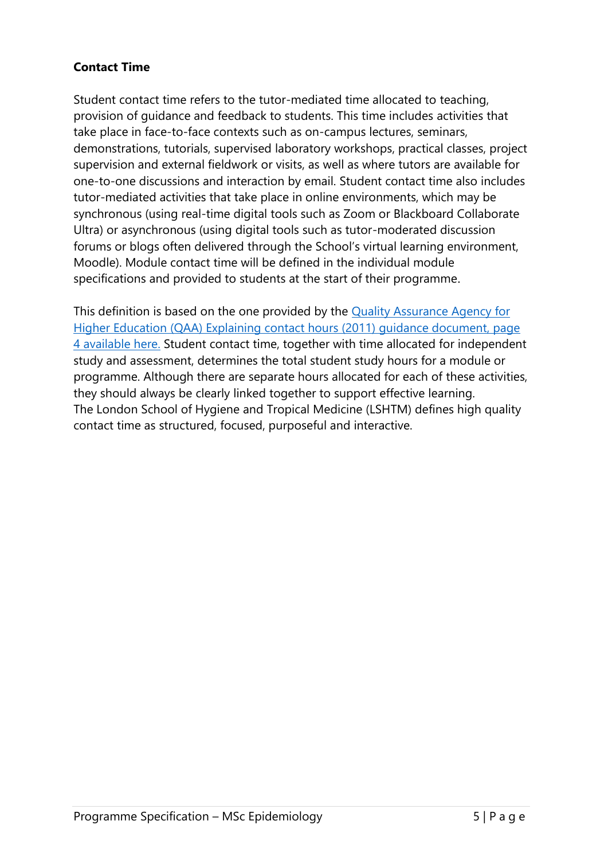# **Contact Time**

Student contact time refers to the tutor-mediated time allocated to teaching, provision of guidance and feedback to students. This time includes activities that take place in face-to-face contexts such as on-campus lectures, seminars, demonstrations, tutorials, supervised laboratory workshops, practical classes, project supervision and external fieldwork or visits, as well as where tutors are available for one-to-one discussions and interaction by email. Student contact time also includes tutor-mediated activities that take place in online environments, which may be synchronous (using real-time digital tools such as Zoom or Blackboard Collaborate Ultra) or asynchronous (using digital tools such as tutor-moderated discussion forums or blogs often delivered through the School's virtual learning environment, Moodle). Module contact time will be defined in the individual module specifications and provided to students at the start of their programme.

This definition is based on the one provided by the [Quality Assurance Agency for](https://www.qaa.ac.uk/docs/qaa/quality-code/contact-hours-guidance.pdf)  [Higher Education \(QAA\) Explaining contact hours \(2011\)](https://www.qaa.ac.uk/docs/qaa/quality-code/contact-hours-guidance.pdf) guidance document, page [4 available here.](https://www.qaa.ac.uk/docs/qaa/quality-code/contact-hours-guidance.pdf) Student contact time, together with time allocated for independent study and assessment, determines the total student study hours for a module or programme. Although there are separate hours allocated for each of these activities, they should always be clearly linked together to support effective learning. The London School of Hygiene and Tropical Medicine (LSHTM) defines high quality contact time as structured, focused, purposeful and interactive.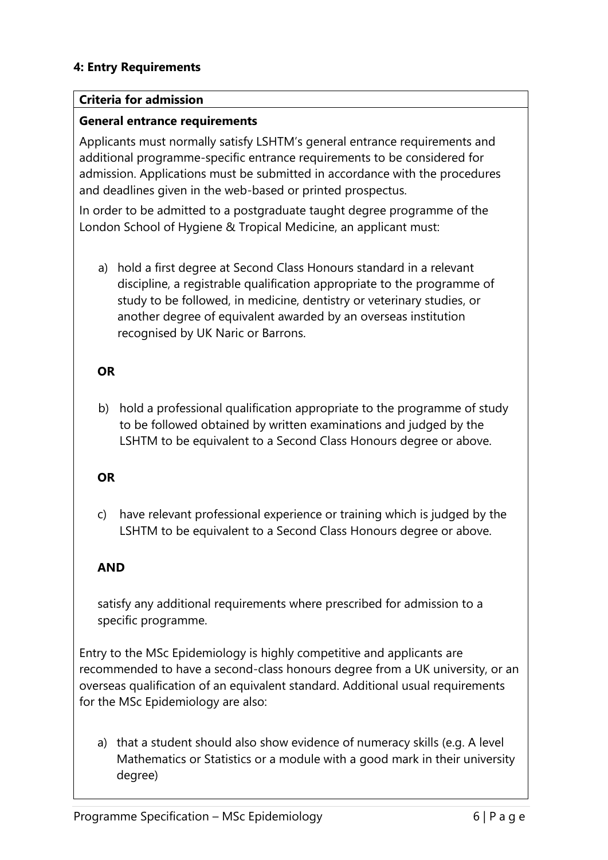# **4: Entry Requirements**

#### **Criteria for admission**

#### **General entrance requirements**

Applicants must normally satisfy LSHTM's general entrance requirements and additional programme-specific entrance requirements to be considered for admission. Applications must be submitted in accordance with the procedures and deadlines given in the web-based or printed prospectus.

In order to be admitted to a postgraduate taught degree programme of the London School of Hygiene & Tropical Medicine, an applicant must:

a) hold a first degree at Second Class Honours standard in a relevant discipline, a registrable qualification appropriate to the programme of study to be followed, in medicine, dentistry or veterinary studies, or another degree of equivalent awarded by an overseas institution recognised by UK Naric or Barrons.

## **OR**

b) hold a professional qualification appropriate to the programme of study to be followed obtained by written examinations and judged by the LSHTM to be equivalent to a Second Class Honours degree or above.

## **OR**

c) have relevant professional experience or training which is judged by the LSHTM to be equivalent to a Second Class Honours degree or above.

## **AND**

satisfy any additional requirements where prescribed for admission to a specific programme.

Entry to the MSc Epidemiology is highly competitive and applicants are recommended to have a second-class honours degree from a UK university, or an overseas qualification of an equivalent standard. Additional usual requirements for the MSc Epidemiology are also:

a) that a student should also show evidence of numeracy skills (e.g. A level Mathematics or Statistics or a module with a good mark in their university degree)